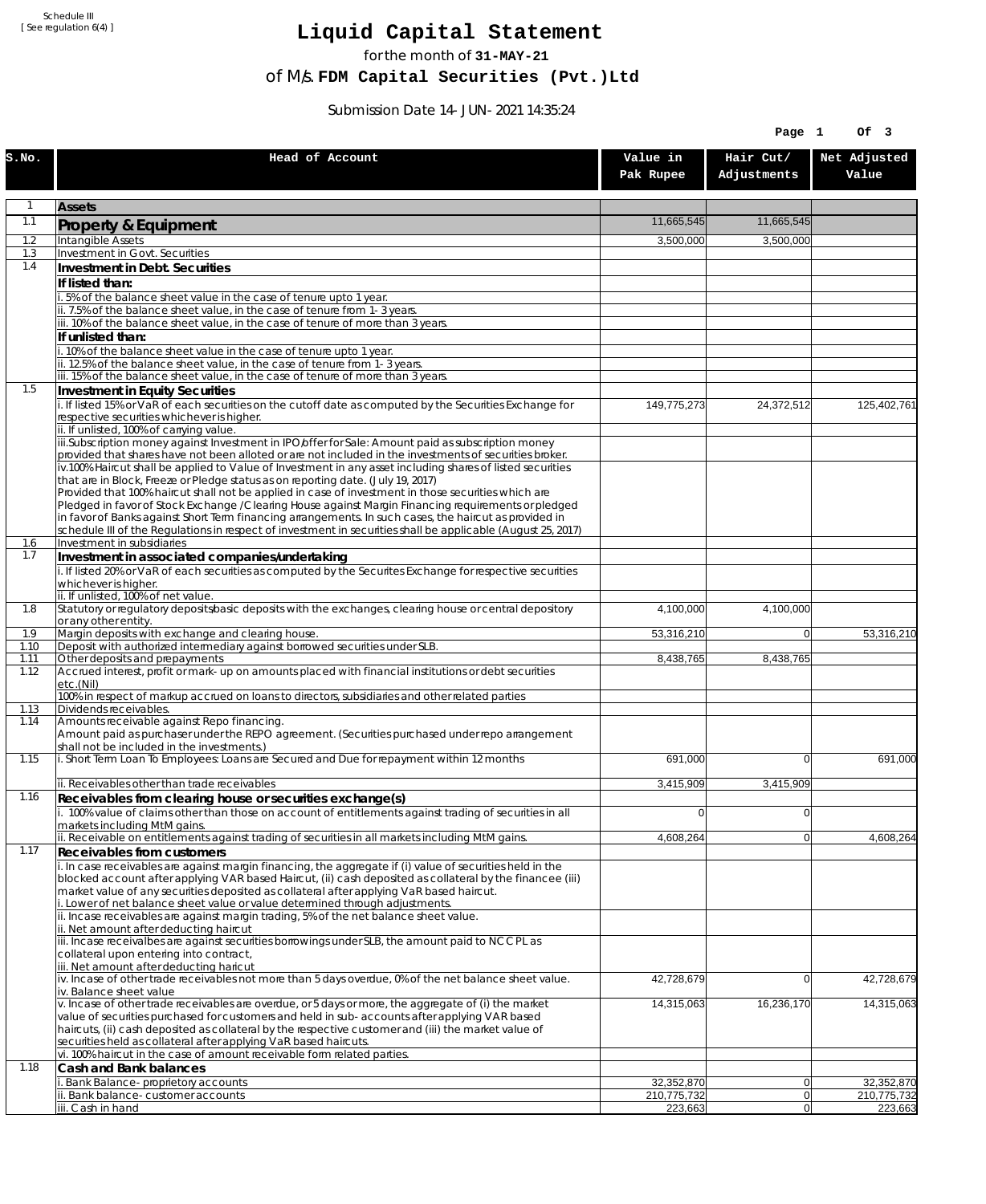Schedule III [ See regulation 6(4) ]

## **Liquid Capital Statement**

for the month of **31-MAY-21**

of M/s. **FDM Capital Securities (Pvt.)Ltd**

Submission Date 14-JUN-2021 14:35:24

|              |                                                                                                                                                                                                                        |                       | Page 1                   | Of 3                  |
|--------------|------------------------------------------------------------------------------------------------------------------------------------------------------------------------------------------------------------------------|-----------------------|--------------------------|-----------------------|
| S.NO.        | Head of Account                                                                                                                                                                                                        | Value in<br>Pak Rupee | Hair Cut/<br>Adjustments | Net Adjusted<br>Value |
|              | <b>Assets</b>                                                                                                                                                                                                          |                       |                          |                       |
| 1.1          | Property & Equipment                                                                                                                                                                                                   | 11,665,545            | 11,665,545               |                       |
| 1.2<br>1.3   | Intangible Assets<br><b>Investment in Govt. Securities</b>                                                                                                                                                             | 3,500,000             | 3,500,000                |                       |
| 1.4          | Investment in Debt. Securities                                                                                                                                                                                         |                       |                          |                       |
|              | If listed than:                                                                                                                                                                                                        |                       |                          |                       |
|              | i. 5% of the balance sheet value in the case of tenure upto 1 year.                                                                                                                                                    |                       |                          |                       |
|              | ii. 7.5% of the balance sheet value, in the case of tenure from 1-3 years.<br>iii. 10% of the balance sheet value, in the case of tenure of more than 3 years.                                                         |                       |                          |                       |
|              | If unlisted than:                                                                                                                                                                                                      |                       |                          |                       |
|              | i. 10% of the balance sheet value in the case of tenure upto 1 year.<br>ii. 12.5% of the balance sheet value, in the case of tenure from 1-3 years.                                                                    |                       |                          |                       |
|              | iii. 15% of the balance sheet value, in the case of tenure of more than 3 years.                                                                                                                                       |                       |                          |                       |
| 1.5          | Investment in Equity Securities                                                                                                                                                                                        |                       |                          |                       |
|              | i. If listed 15% or VaR of each securities on the cutoff date as computed by the Securities Exchange for<br>respective securities whichever is higher.                                                                 | 149,775,273           | 24,372,512               | 125,402,761           |
|              | ii. If unlisted, 100% of carrying value.                                                                                                                                                                               |                       |                          |                       |
|              | iii.Subscription money against Investment in IPO/offer for Sale: Amount paid as subscription money                                                                                                                     |                       |                          |                       |
|              | provided that shares have not been alloted or are not included in the investments of securities broker.<br>iv.100% Haircut shall be applied to Value of Investment in any asset including shares of listed securities  |                       |                          |                       |
|              | that are in Block, Freeze or Pledge status as on reporting date. (July 19, 2017)                                                                                                                                       |                       |                          |                       |
|              | Provided that 100% haircut shall not be applied in case of investment in those securities which are<br>Pledged in favor of Stock Exchange / Clearing House against Margin Financing requirements or pledged            |                       |                          |                       |
|              | in favor of Banks against Short Term financing arrangements. In such cases, the haircut as provided in                                                                                                                 |                       |                          |                       |
| 1.6          | schedule III of the Regulations in respect of investment in securities shall be applicable (August 25, 2017)<br>Investment in subsidiaries                                                                             |                       |                          |                       |
| 1.7          | Investment in associated companies/undertaking                                                                                                                                                                         |                       |                          |                       |
|              | i. If listed 20% or VaR of each securities as computed by the Securites Exchange for respective securities                                                                                                             |                       |                          |                       |
|              | whichever is higher.<br>ii. If unlisted, 100% of net value.                                                                                                                                                            |                       |                          |                       |
| 1.8          | Statutory or regulatory deposits/basic deposits with the exchanges, clearing house or central depository                                                                                                               | 4,100,000             | 4,100,000                |                       |
| 1.9          | or any other entity.<br>Margin deposits with exchange and clearing house.                                                                                                                                              | 53,316,210            | $\overline{0}$           | 53,316,210            |
| 1.10         | Deposit with authorized intermediary against borrowed securities under SLB.                                                                                                                                            |                       |                          |                       |
| 1.11<br>1.12 | Other deposits and prepayments<br>Accrued interest, profit or mark-up on amounts placed with financial institutions or debt securities                                                                                 | 8,438,765             | 8,438,765                |                       |
|              | etc.(Nil)                                                                                                                                                                                                              |                       |                          |                       |
| 1.13         | 100% in respect of markup accrued on loans to directors, subsidiaries and other related parties<br>Dividends receivables.                                                                                              |                       |                          |                       |
| 1.14         | Amounts receivable against Repo financing.                                                                                                                                                                             |                       |                          |                       |
|              | Amount paid as purchaser under the REPO agreement. (Securities purchased under repo arrangement<br>shall not be included in the investments.)                                                                          |                       |                          |                       |
| 1.15         | i. Short Term Loan To Employees: Loans are Secured and Due for repayment within 12 months                                                                                                                              | 691,000               | $\Omega$                 | 691,000               |
|              | ii. Receivables other than trade receivables                                                                                                                                                                           | 3,415,909             | 3,415,909                |                       |
| 1.16         | Receivables from clearing house or securities exchange(s)                                                                                                                                                              |                       |                          |                       |
|              | i. 100% value of claims other than those on account of entitlements against trading of securities in all                                                                                                               | 0                     | $\overline{0}$           |                       |
|              | markets including MtM gains.<br>ii. Receivable on entitlements against trading of securities in all markets including MtM gains.                                                                                       | 4,608,264             | $\overline{0}$           | 4,608,264             |
| 1.17         | Receivables from customers                                                                                                                                                                                             |                       |                          |                       |
|              | i. In case receivables are against margin financing, the aggregate if (i) value of securities held in the<br>blocked account after applying VAR based Haircut, (ii) cash deposited as collateral by the financee (iii) |                       |                          |                       |
|              | market value of any securities deposited as collateral after applying VaR based haircut.                                                                                                                               |                       |                          |                       |
|              | i. Lower of net balance sheet value or value determined through adjustments.<br>ii. Incase receivables are against margin trading, 5% of the net balance sheet value.                                                  |                       |                          |                       |
|              | ii. Net amount after deducting haircut                                                                                                                                                                                 |                       |                          |                       |
|              | iii. Incase receivalbes are against securities borrowings under SLB, the amount paid to NCCPL as<br>collateral upon entering into contract,                                                                            |                       |                          |                       |
|              | iii. Net amount after deducting haricut                                                                                                                                                                                |                       |                          |                       |
|              | iv. Incase of other trade receivables not more than 5 days overdue, 0% of the net balance sheet value.<br>iv. Balance sheet value                                                                                      | 42,728,679            | $\overline{0}$           | 42,728,679            |
|              | v. Incase of other trade receivables are overdue, or 5 days or more, the aggregate of (i) the market                                                                                                                   | 14,315,063            | 16,236,170               | 14,315,063            |
|              | value of securities purchased for customers and held in sub-accounts after applying VAR based                                                                                                                          |                       |                          |                       |
|              | haircuts, (ii) cash deposited as collateral by the respective customer and (iii) the market value of<br>securities held as collateral after applying VaR based haircuts.                                               |                       |                          |                       |
|              | vi. 100% haircut in the case of amount receivable form related parties.                                                                                                                                                |                       |                          |                       |
| 1.18         | Cash and Bank balances<br>Bank Balance-proprietory accounts                                                                                                                                                            | 32,352,870            | 0                        | 32,352,870            |
|              | Bank balance-customer accounts                                                                                                                                                                                         | 210,775,732           | 0                        | 210,775,732           |
|              | iii. Cash in hand                                                                                                                                                                                                      | 223,663               | $\overline{0}$           | 223,663               |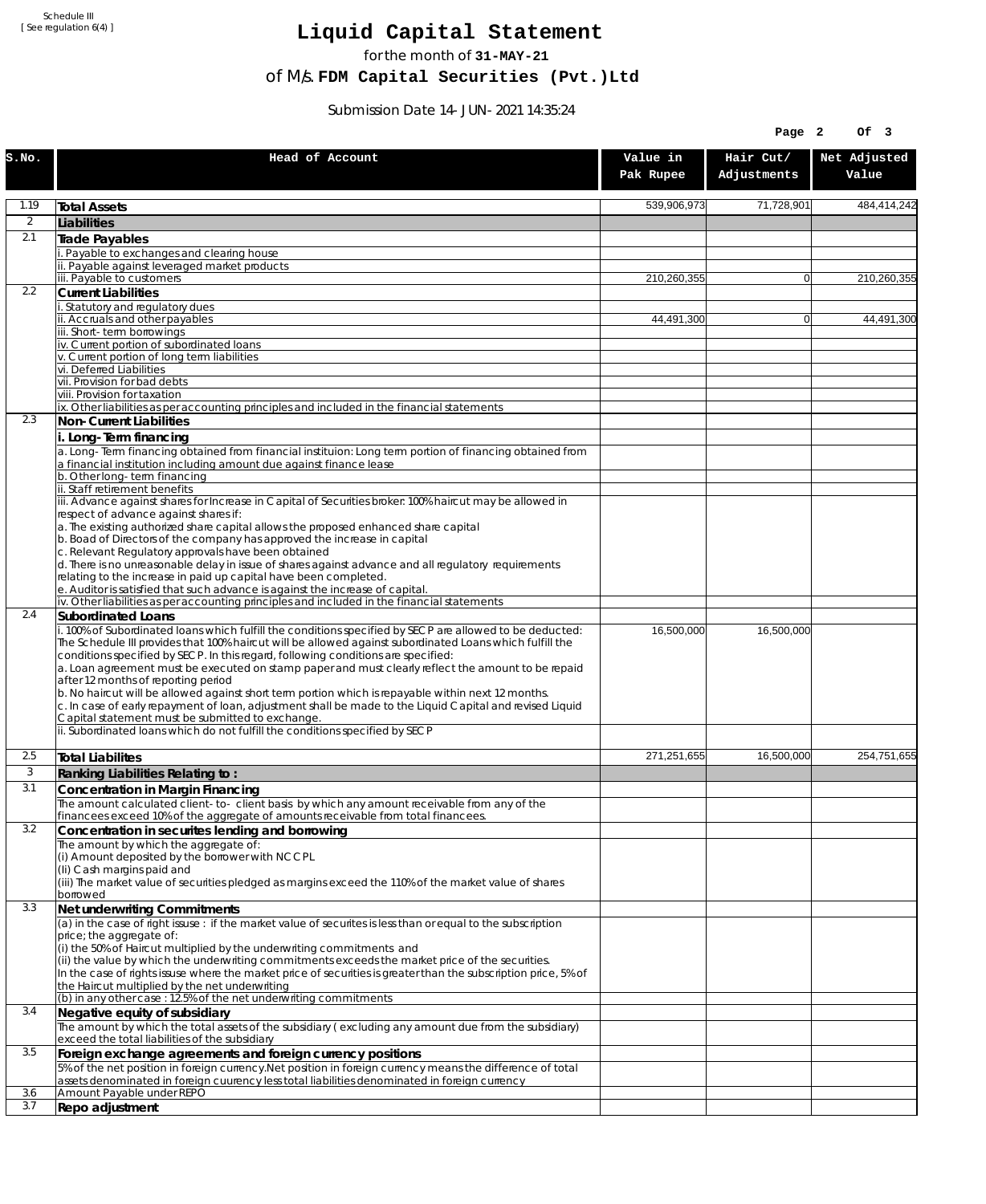Schedule III [ See regulation 6(4) ]

## **Liquid Capital Statement**

for the month of **31-MAY-21**

of M/s. **FDM Capital Securities (Pvt.)Ltd**

Submission Date 14-JUN-2021 14:35:24

|                |                                                                                                                                                                                                                                                                                                                                                                                                                                                       |                       | Page 2                   | Of 3                  |
|----------------|-------------------------------------------------------------------------------------------------------------------------------------------------------------------------------------------------------------------------------------------------------------------------------------------------------------------------------------------------------------------------------------------------------------------------------------------------------|-----------------------|--------------------------|-----------------------|
| S.NO.          | Head of Account                                                                                                                                                                                                                                                                                                                                                                                                                                       | Value in<br>Pak Rupee | Hair Cut/<br>Adjustments | Net Adjusted<br>Value |
| 1.19           | <b>Total Assets</b>                                                                                                                                                                                                                                                                                                                                                                                                                                   | 539,906,973           | 71,728,901               | 484,414,242           |
| $\overline{2}$ | Liabilities                                                                                                                                                                                                                                                                                                                                                                                                                                           |                       |                          |                       |
| 2.1            | <b>Trade Payables</b>                                                                                                                                                                                                                                                                                                                                                                                                                                 |                       |                          |                       |
|                | Payable to exchanges and clearing house                                                                                                                                                                                                                                                                                                                                                                                                               |                       |                          |                       |
|                | Payable against leveraged market products<br>iii. Payable to customers                                                                                                                                                                                                                                                                                                                                                                                | 210,260,355           | $\overline{0}$           | 210,260,355           |
| 2.2            | <b>Current Liabilities</b>                                                                                                                                                                                                                                                                                                                                                                                                                            |                       |                          |                       |
|                | Statutory and regulatory dues                                                                                                                                                                                                                                                                                                                                                                                                                         |                       |                          |                       |
|                | ii. Accruals and other payables<br>iii. Short-term borrowinas                                                                                                                                                                                                                                                                                                                                                                                         | 44,491,300            | $\overline{0}$           | 44,491,300            |
|                | iv. Current portion of subordinated loans                                                                                                                                                                                                                                                                                                                                                                                                             |                       |                          |                       |
|                | v. Current portion of long term liabilities<br>vi. Deferred Liabilities                                                                                                                                                                                                                                                                                                                                                                               |                       |                          |                       |
|                | vii. Provision for bad debts                                                                                                                                                                                                                                                                                                                                                                                                                          |                       |                          |                       |
|                | viii. Provision for taxation                                                                                                                                                                                                                                                                                                                                                                                                                          |                       |                          |                       |
| 2.3            | ix. Other liabilities as per accounting principles and included in the financial statements<br>Non-Current Liabilities                                                                                                                                                                                                                                                                                                                                |                       |                          |                       |
|                | i. Long-Term financing                                                                                                                                                                                                                                                                                                                                                                                                                                |                       |                          |                       |
|                | a. Long-Term financing obtained from financial instituion: Long term portion of financing obtained from<br>a financial institution including amount due against finance lease                                                                                                                                                                                                                                                                         |                       |                          |                       |
|                | b. Other long-term financing<br>ii. Staff retirement benefits                                                                                                                                                                                                                                                                                                                                                                                         |                       |                          |                       |
|                | iii. Advance against shares for Increase in Capital of Securities broker: 100% haircut may be allowed in                                                                                                                                                                                                                                                                                                                                              |                       |                          |                       |
|                | respect of advance against shares if:                                                                                                                                                                                                                                                                                                                                                                                                                 |                       |                          |                       |
|                | a. The existing authorized share capital allows the proposed enhanced share capital<br>b. Boad of Directors of the company has approved the increase in capital                                                                                                                                                                                                                                                                                       |                       |                          |                       |
|                | c. Relevant Regulatory approvals have been obtained                                                                                                                                                                                                                                                                                                                                                                                                   |                       |                          |                       |
|                | d. There is no unreasonable delay in issue of shares against advance and all regulatory requirements<br>relating to the increase in paid up capital have been completed.                                                                                                                                                                                                                                                                              |                       |                          |                       |
|                | e. Auditor is satisfied that such advance is against the increase of capital.                                                                                                                                                                                                                                                                                                                                                                         |                       |                          |                       |
|                | iv. Other liabilities as per accounting principles and included in the financial statements                                                                                                                                                                                                                                                                                                                                                           |                       |                          |                       |
| 2.4            | Subordinated Loans                                                                                                                                                                                                                                                                                                                                                                                                                                    |                       |                          |                       |
|                | . 100% of Subordinated loans which fulfill the conditions specified by SECP are allowed to be deducted:<br>The Schedule III provides that 100% haircut will be allowed against subordinated Loans which fulfill the<br>conditions specified by SECP. In this regard, following conditions are specified:<br>a. Loan agreement must be executed on stamp paper and must clearly reflect the amount to be repaid<br>after 12 months of reporting period | 16,500,000            | 16,500,000               |                       |
|                | b. No haircut will be allowed against short term portion which is repayable within next 12 months.<br>c. In case of early repayment of loan, adjustment shall be made to the Liquid Capital and revised Liquid<br>Capital statement must be submitted to exchange.                                                                                                                                                                                    |                       |                          |                       |
|                | ii. Subordinated loans which do not fulfill the conditions specified by SECP                                                                                                                                                                                                                                                                                                                                                                          |                       |                          |                       |
| 2.5            | <b>Total Liabilites</b>                                                                                                                                                                                                                                                                                                                                                                                                                               | 271,251,655           | 16,500,000               | 254,751,655           |
| 3              | Ranking Liabilities Relating to:                                                                                                                                                                                                                                                                                                                                                                                                                      |                       |                          |                       |
| 3.1            | Concentration in Margin Financing                                                                                                                                                                                                                                                                                                                                                                                                                     |                       |                          |                       |
|                | The amount calculated client-to- client basis by which any amount receivable from any of the                                                                                                                                                                                                                                                                                                                                                          |                       |                          |                       |
| 3.2            | financees exceed 10% of the aggregate of amounts receivable from total financees.<br>Concentration in securites lending and borrowing                                                                                                                                                                                                                                                                                                                 |                       |                          |                       |
|                | The amount by which the aggregate of:                                                                                                                                                                                                                                                                                                                                                                                                                 |                       |                          |                       |
|                | (i) Amount deposited by the borrower with NCCPL                                                                                                                                                                                                                                                                                                                                                                                                       |                       |                          |                       |
|                | (Ii) Cash margins paid and<br>(iii) The market value of securities pledged as margins exceed the 110% of the market value of shares                                                                                                                                                                                                                                                                                                                   |                       |                          |                       |
|                | borrowed                                                                                                                                                                                                                                                                                                                                                                                                                                              |                       |                          |                       |
| 3.3            | Net underwriting Commitments                                                                                                                                                                                                                                                                                                                                                                                                                          |                       |                          |                       |
|                | (a) in the case of right issuse : if the market value of securites is less than or equal to the subscription<br>price; the aggregate of:                                                                                                                                                                                                                                                                                                              |                       |                          |                       |
|                | (i) the 50% of Haircut multiplied by the underwriting commitments and                                                                                                                                                                                                                                                                                                                                                                                 |                       |                          |                       |
|                | (ii) the value by which the underwriting commitments exceeds the market price of the securities.                                                                                                                                                                                                                                                                                                                                                      |                       |                          |                       |
|                | In the case of rights issuse where the market price of securities is greater than the subscription price, 5% of<br>the Haircut multiplied by the net underwriting                                                                                                                                                                                                                                                                                     |                       |                          |                       |
|                | (b) in any other case: 12.5% of the net underwriting commitments                                                                                                                                                                                                                                                                                                                                                                                      |                       |                          |                       |
| 3.4            | Negative equity of subsidiary                                                                                                                                                                                                                                                                                                                                                                                                                         |                       |                          |                       |
|                | The amount by which the total assets of the subsidiary (excluding any amount due from the subsidiary)<br>exceed the total liabilities of the subsidiary                                                                                                                                                                                                                                                                                               |                       |                          |                       |
| 3.5            | Foreign exchange agreements and foreign currency positions                                                                                                                                                                                                                                                                                                                                                                                            |                       |                          |                       |
|                | 5% of the net position in foreign currency. Net position in foreign currency means the difference of total<br>assets denominated in foreign cuurency less total liabilities denominated in foreign currency                                                                                                                                                                                                                                           |                       |                          |                       |
| 3.6<br>3.7     | Amount Payable under REPO<br>Repo adjustment                                                                                                                                                                                                                                                                                                                                                                                                          |                       |                          |                       |
|                |                                                                                                                                                                                                                                                                                                                                                                                                                                                       |                       |                          |                       |